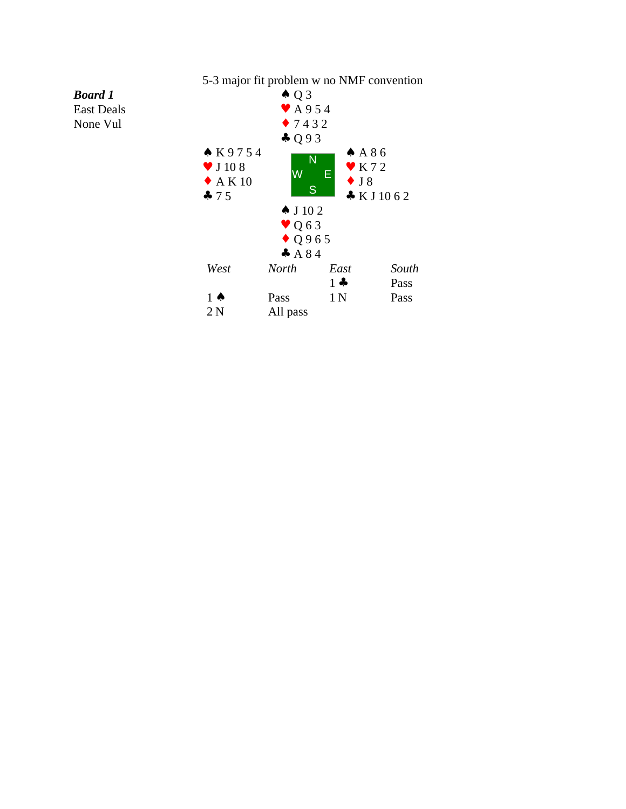## 5-3 major fit problem w no NMF convention ♠ Q 3 ♥ A 9 5 4 ♦ 7 4 3 2 ♣ Q 9 3 ♠ K 9 7 5 4  $\bullet$  J 10 8 W  $\blacklozenge$  A K 10 ♣ 7 5 ♠ A 8 6  $N = \sqrt{\frac{1}{K} 72}$ ♦ J 8  $\begin{array}{c} \text{S} \\ \text{L} \\ \text{N} \end{array}$  K J 10 6 2 ♠ J 10 2 ♥ Q 6 3 ♦ Q 9 6 5 ♣ A 8 4 W  $E_{\rm tot}^{\rm max}$ *West North East South* 1 ♣ Pass 1 ♦ Pass 1 N Pass 2 N All pass

*Board 1* East Deals None Vul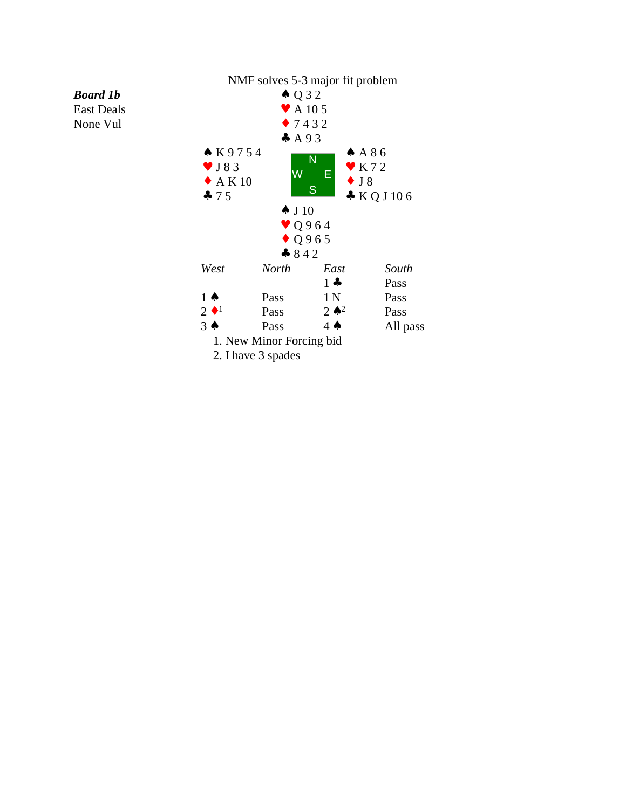## *Board 1b*

East Deals None Vul

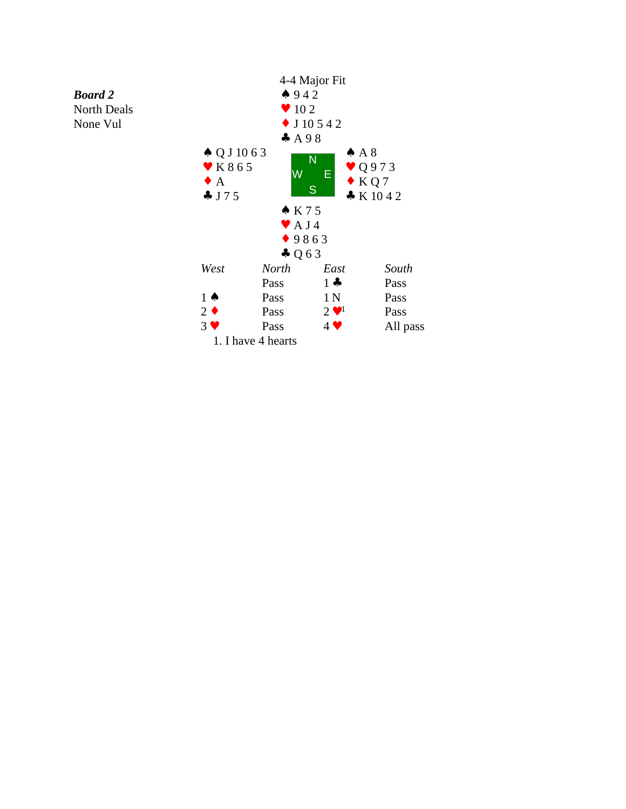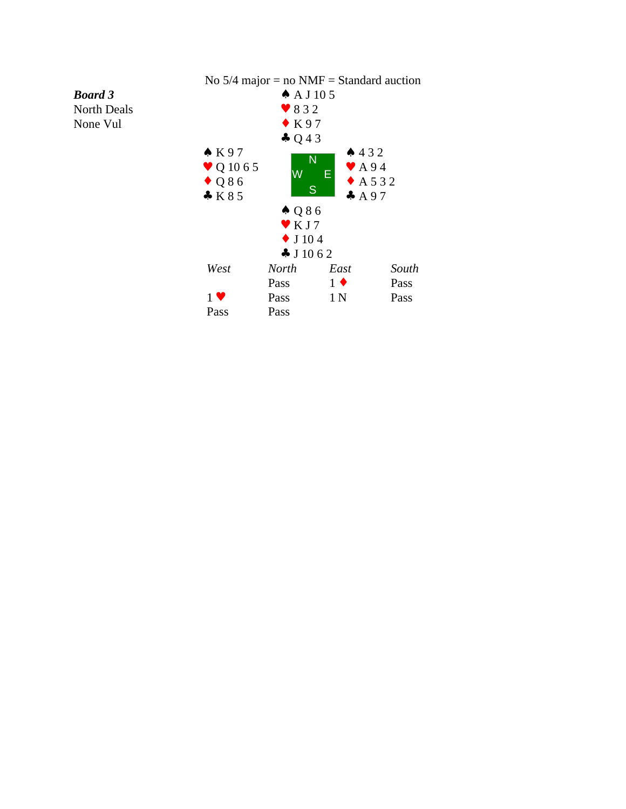

## *Board 3* North Deals None Vul